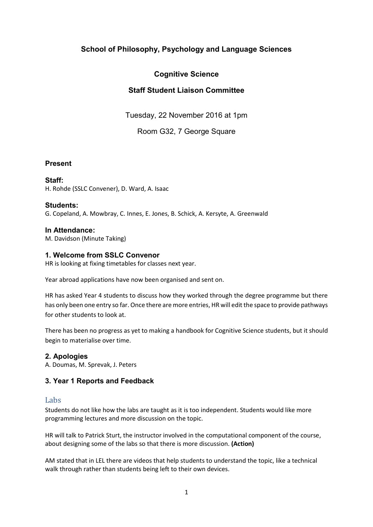# **School of Philosophy, Psychology and Language Sciences**

# **Cognitive Science**

# **Staff Student Liaison Committee**

Tuesday, 22 November 2016 at 1pm

Room G32, 7 George Square

#### **Present**

**Staff:**  H. Rohde (SSLC Convener), D. Ward, A. Isaac

**Students:**  G. Copeland, A. Mowbray, C. Innes, E. Jones, B. Schick, A. Kersyte, A. Greenwald

**In Attendance:**  M. Davidson (Minute Taking)

#### **1. Welcome from SSLC Convenor**

HR is looking at fixing timetables for classes next year.

Year abroad applications have now been organised and sent on.

HR has asked Year 4 students to discuss how they worked through the degree programme but there has only been one entry so far. Once there are more entries, HR will edit the space to provide pathways for other students to look at.

There has been no progress as yet to making a handbook for Cognitive Science students, but it should begin to materialise over time.

#### **2. Apologies**

A. Doumas, M. Sprevak, J. Peters

#### **3. Year 1 Reports and Feedback**

#### Labs

Students do not like how the labs are taught as it is too independent. Students would like more programming lectures and more discussion on the topic.

HR will talk to Patrick Sturt, the instructor involved in the computational component of the course, about designing some of the labs so that there is more discussion. **(Action)**

AM stated that in LEL there are videos that help students to understand the topic, like a technical walk through rather than students being left to their own devices.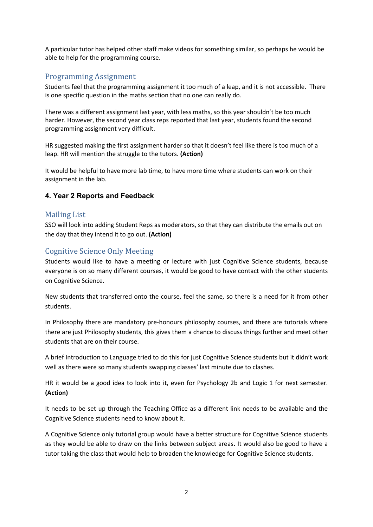A particular tutor has helped other staff make videos for something similar, so perhaps he would be able to help for the programming course.

## Programming Assignment

Students feel that the programming assignment it too much of a leap, and it is not accessible. There is one specific question in the maths section that no one can really do.

There was a different assignment last year, with less maths, so this year shouldn't be too much harder. However, the second year class reps reported that last year, students found the second programming assignment very difficult.

HR suggested making the first assignment harder so that it doesn't feel like there is too much of a leap. HR will mention the struggle to the tutors. **(Action)**

It would be helpful to have more lab time, to have more time where students can work on their assignment in the lab.

### **4. Year 2 Reports and Feedback**

### Mailing List

SSO will look into adding Student Reps as moderators, so that they can distribute the emails out on the day that they intend it to go out. **(Action)**

## Cognitive Science Only Meeting

Students would like to have a meeting or lecture with just Cognitive Science students, because everyone is on so many different courses, it would be good to have contact with the other students on Cognitive Science.

New students that transferred onto the course, feel the same, so there is a need for it from other students.

In Philosophy there are mandatory pre-honours philosophy courses, and there are tutorials where there are just Philosophy students, this gives them a chance to discuss things further and meet other students that are on their course.

A brief Introduction to Language tried to do this for just Cognitive Science students but it didn't work well as there were so many students swapping classes' last minute due to clashes.

HR it would be a good idea to look into it, even for Psychology 2b and Logic 1 for next semester. **(Action)**

It needs to be set up through the Teaching Office as a different link needs to be available and the Cognitive Science students need to know about it.

A Cognitive Science only tutorial group would have a better structure for Cognitive Science students as they would be able to draw on the links between subject areas. It would also be good to have a tutor taking the class that would help to broaden the knowledge for Cognitive Science students.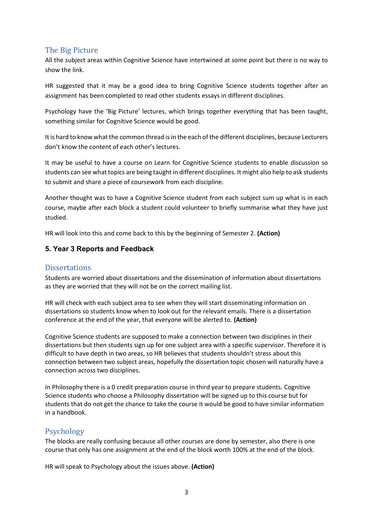## The Big Picture

All the subject areas within Cognitive Science have intertwined at some point but there is no way to show the link.

HR suggested that it may be a good idea to bring Cognitive Science students together after an assignment has been completed to read other students essays in different disciplines.

Psychology have the 'Big Picture' lectures, which brings together everything that has been taught, something similar for Cognitive Science would be good.

It is hard to know what the common thread is in the each of the different disciplines, because Lecturers don't know the content of each other's lectures.

It may be useful to have a course on Learn for Cognitive Science students to enable discussion so students can see what topics are being taught in different disciplines. It might also help to ask students to submit and share a piece of coursework from each discipline.

Another thought was to have a Cognitive Science student from each subject sum up what is in each course, maybe after each block a student could volunteer to briefly summarise what they have just studied.

HR will look into this and come back to this by the beginning of Semester 2. **(Action)**

### **5. Year 3 Reports and Feedback**

### **Dissertations**

Students are worried about dissertations and the dissemination of information about dissertations as they are worried that they will not be on the correct mailing list.

HR will check with each subject area to see when they will start disseminating information on dissertations so students know when to look out for the relevant emails. There is a dissertation conference at the end of the year, that everyone will be alerted to. **(Action)**

Cognitive Science students are supposed to make a connection between two disciplines in their dissertations but then students sign up for one subject area with a specific supervisor. Therefore it is difficult to have depth in two areas, so HR believes that students shouldn't stress about this connection between two subject areas, hopefully the dissertation topic chosen will naturally have a connection across two disciplines.

In Philosophy there is a 0 credit preparation course in third year to prepare students. Cognitive Science students who choose a Philosophy dissertation will be signed up to this course but for students that do not get the chance to take the course it would be good to have similar information in a handbook.

## Psychology

The blocks are really confusing because all other courses are done by semester, also there is one course that only has one assignment at the end of the block worth 100% at the end of the block.

HR will speak to Psychology about the issues above. **(Action)**